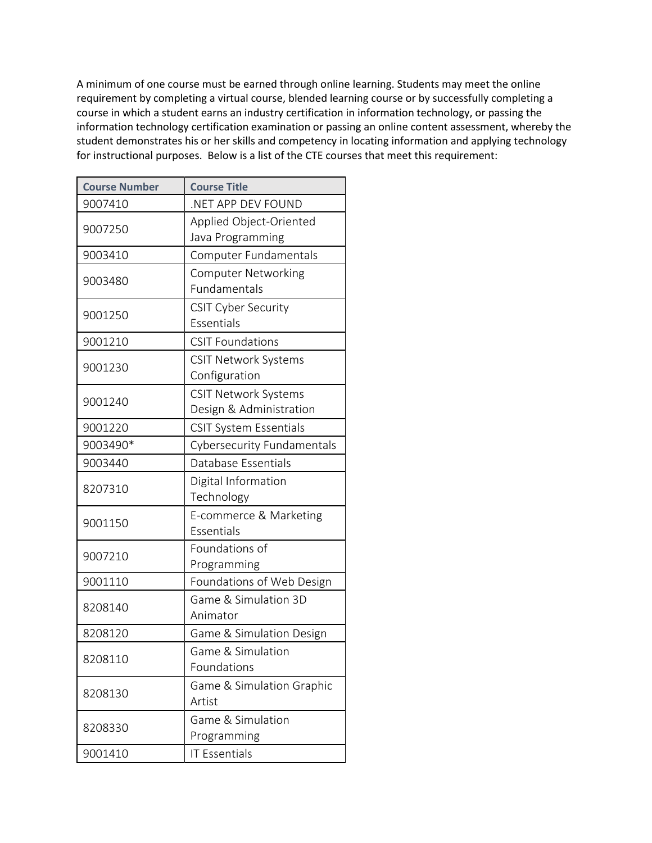A minimum of one course must be earned through online learning. Students may meet the online requirement by completing a virtual course, blended learning course or by successfully completing a course in which a student earns an industry certification in information technology, or passing the information technology certification examination or passing an online content assessment, whereby the student demonstrates his or her skills and competency in locating information and applying technology for instructional purposes. Below is a list of the CTE courses that meet this requirement:

| <b>Course Number</b> | <b>Course Title</b>                                    |
|----------------------|--------------------------------------------------------|
| 9007410              | NET APP DEV FOUND                                      |
| 9007250              | Applied Object-Oriented                                |
|                      | Java Programming                                       |
| 9003410              | Computer Fundamentals                                  |
| 9003480              | <b>Computer Networking</b>                             |
|                      | Fundamentals                                           |
| 9001250              | <b>CSIT Cyber Security</b>                             |
|                      | Essentials                                             |
| 9001210              | <b>CSIT Foundations</b>                                |
| 9001230              | <b>CSIT Network Systems</b><br>Configuration           |
|                      |                                                        |
| 9001240              | <b>CSIT Network Systems</b><br>Design & Administration |
| 9001220              | <b>CSIT System Essentials</b>                          |
| 9003490*             | <b>Cybersecurity Fundamentals</b>                      |
| 9003440              | Database Essentials                                    |
| 8207310              | Digital Information                                    |
|                      | Technology                                             |
| 9001150              | E-commerce & Marketing                                 |
|                      | Essentials                                             |
| 9007210              | Foundations of                                         |
|                      | Programming                                            |
| 9001110              | Foundations of Web Design                              |
| 8208140              | Game & Simulation 3D                                   |
|                      | Animator                                               |
| 8208120              | Game & Simulation Design                               |
| 8208110              | Game & Simulation                                      |
|                      | Foundations                                            |
| 8208130              | Game & Simulation Graphic                              |
|                      | Artist                                                 |
| 8208330              | Game & Simulation                                      |
|                      | Programming                                            |
| 9001410              | <b>IT Essentials</b>                                   |